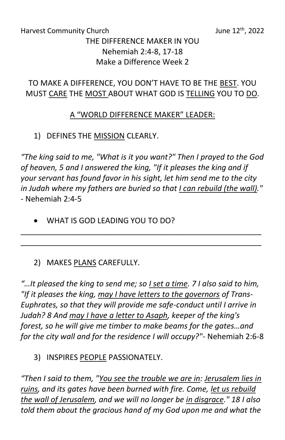#### Harvest Community Church  $J$ une 12<sup>th</sup>, 2022 THE DIFFERENCE MAKER IN YOU Nehemiah 2:4-8, 17-18 Make a Difference Week 2

# TO MAKE A DIFFERENCE, YOU DON'T HAVE TO BE THE BEST. YOU MUST CARE THE MOST ABOUT WHAT GOD IS TELLING YOU TO DO.

## A "WORLD DIFFERENCE MAKER" LEADER:

1) DEFINES THE MISSION CLEARLY.

*"The king said to me, "What is it you want?" Then I prayed to the God of heaven, 5 and I answered the king, "If it pleases the king and if your servant has found favor in his sight, let him send me to the city in Judah where my fathers are buried so that I can rebuild (the wall)." -* Nehemiah 2:4-5

\_\_\_\_\_\_\_\_\_\_\_\_\_\_\_\_\_\_\_\_\_\_\_\_\_\_\_\_\_\_\_\_\_\_\_\_\_\_\_\_\_\_\_\_\_\_\_\_\_\_\_\_\_\_\_\_ \_\_\_\_\_\_\_\_\_\_\_\_\_\_\_\_\_\_\_\_\_\_\_\_\_\_\_\_\_\_\_\_\_\_\_\_\_\_\_\_\_\_\_\_\_\_\_\_\_\_\_\_\_\_\_\_

• WHAT IS GOD LEADING YOU TO DO?

# 2) MAKES PLANS CAREFULLY.

*"…It pleased the king to send me; so I set a time. 7 I also said to him, "If it pleases the king, may I have letters to the governors of Trans-Euphrates, so that they will provide me safe-conduct until I arrive in Judah? 8 And may I have a letter to Asaph, keeper of the king's forest, so he will give me timber to make beams for the gates…and for the city wall and for the residence I will occupy?"-* Nehemiah 2:6-8

### 3) INSPIRES PEOPLE PASSIONATELY.

*"Then I said to them, "You see the trouble we are in: Jerusalem lies in ruins, and its gates have been burned with fire. Come, let us rebuild the wall of Jerusalem, and we will no longer be in disgrace." 18 I also told them about the gracious hand of my God upon me and what the*